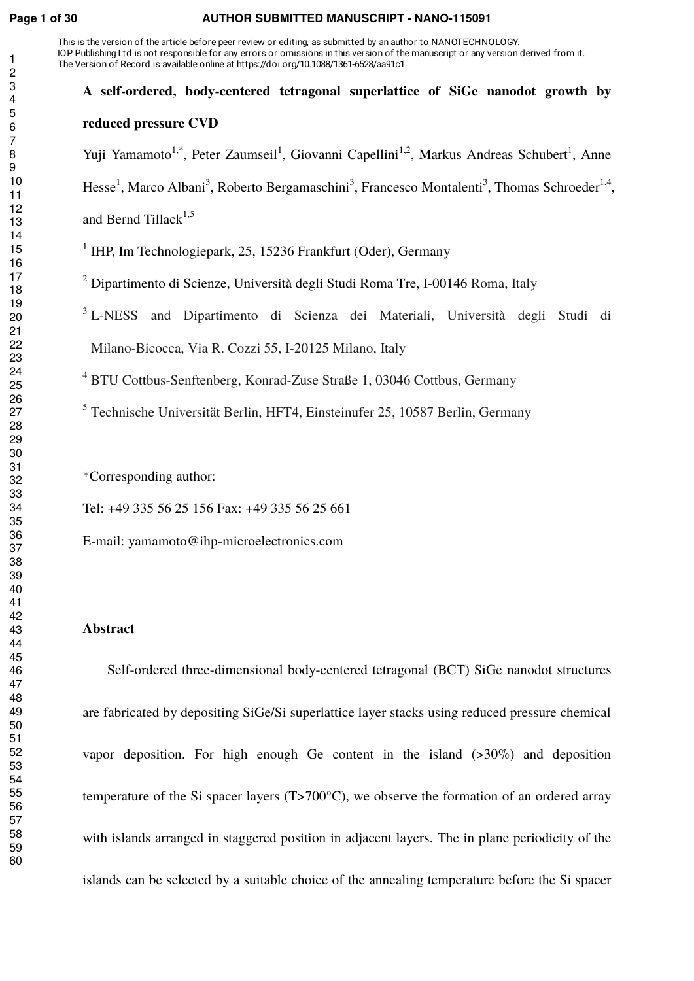#### **Page 1 of 30 AUTHOR SUBMITTED MANUSCRIPT - NANO-115091**

This is the version of the article before peer review or editing, as submitted by an author to NANOTECHNOLOGY. IOP Publishing Ltd is not responsible for any errors or omissions in this version of the manuscript or any version derived from it. The Version of Record is available online at https://doi.org/10.1088/1361-6528/aa91c1

## **A self-ordered, body-centered tetragonal superlattice of SiGe nanodot growth by reduced pressure CVD**  Yuji Yamamoto<sup>1,\*</sup>, Peter Zaumseil<sup>1</sup>, Giovanni Capellini<sup>1,2</sup>, Markus Andreas Schubert<sup>1</sup>, Anne Hesse<sup>1</sup>, Marco Albani<sup>3</sup>, Roberto Bergamaschini<sup>3</sup>, Francesco Montalenti<sup>3</sup>, Thomas Schroeder<sup>1,4</sup>,

and Bernd Tillack $^{1,5}$ 

<sup>1</sup> IHP, Im Technologiepark, 25, 15236 Frankfurt (Oder), Germany

 $^2$  Dipartimento di Scienze, Università degli Studi Roma Tre, I-00146 Roma, Italy

<sup>3</sup> L-NESS and Dipartimento di Scienza dei Materiali, Università degli Studi di Milano-Bicocca, Via R. Cozzi 55, I-20125 Milano, Italy

BTU Cottbus-Senftenberg, Konrad-Zuse Straße 1, 03046 Cottbus, Germany

Technische Universität Berlin, HFT4, Einsteinufer 25, 10587 Berlin, Germany

\*Corresponding author:

Tel: +49 335 56 25 156 Fax: +49 335 56 25 661

E-mail: yamamoto@ihp-microelectronics.com

### **Abstract**

Self-ordered three-dimensional body-centered tetragonal (BCT) SiGe nanodot structures are fabricated by depositing SiGe/Si superlattice layer stacks using reduced pressure chemical vapor deposition. For high enough Ge content in the island  $(>30\%)$  and deposition temperature of the Si spacer layers (T>700°C), we observe the formation of an ordered array with islands arranged in staggered position in adjacent layers. The in plane periodicity of the islands can be selected by a suitable choice of the annealing temperature before the Si spacer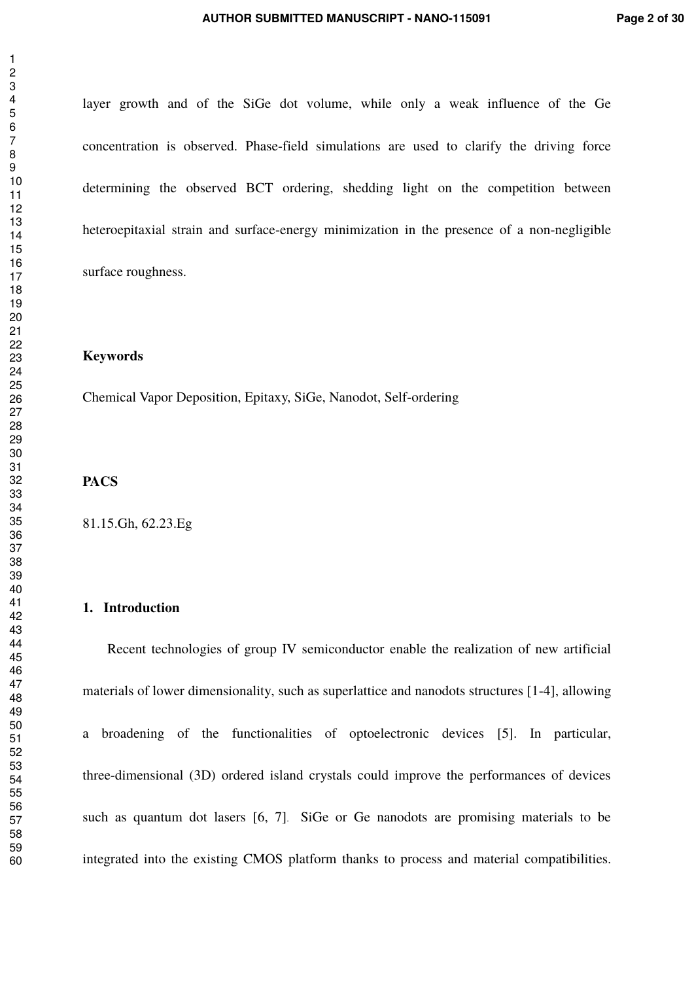layer growth and of the SiGe dot volume, while only a weak influence of the Ge concentration is observed. Phase-field simulations are used to clarify the driving force determining the observed BCT ordering, shedding light on the competition between heteroepitaxial strain and surface-energy minimization in the presence of a non-negligible surface roughness.

#### **Keywords**

Chemical Vapor Deposition, Epitaxy, SiGe, Nanodot, Self-ordering

#### **PACS**

81.15.Gh, 62.23.Eg

#### **1. Introduction**

Recent technologies of group IV semiconductor enable the realization of new artificial materials of lower dimensionality, such as superlattice and nanodots structures [1-4], allowing a broadening of the functionalities of optoelectronic devices [5]. In particular, three-dimensional (3D) ordered island crystals could improve the performances of devices such as quantum dot lasers [6, 7]. SiGe or Ge nanodots are promising materials to be integrated into the existing CMOS platform thanks to process and material compatibilities.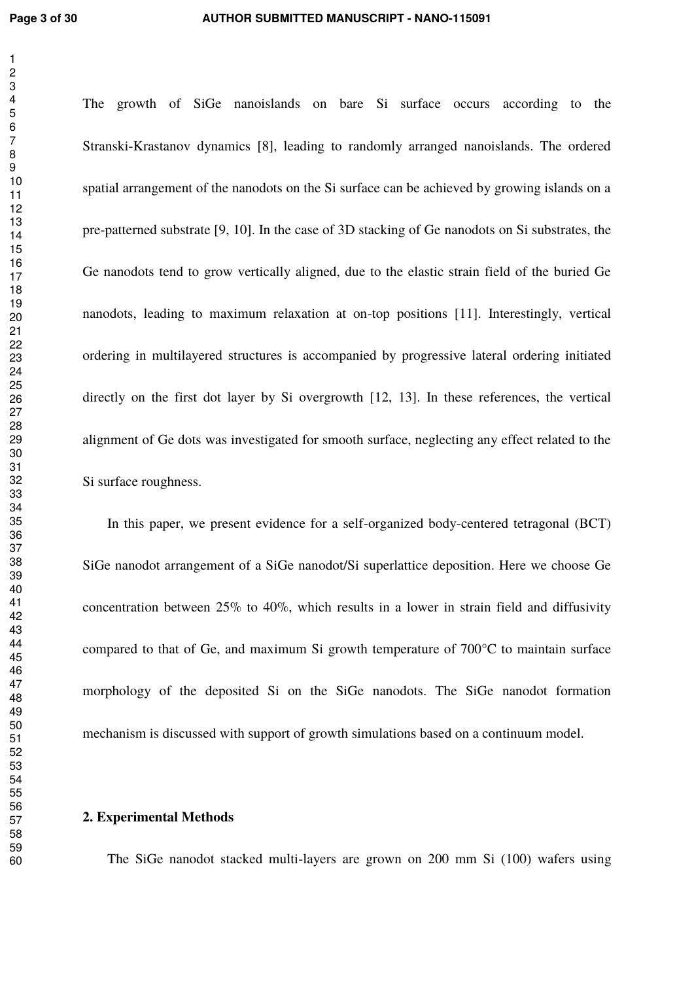The growth of SiGe nanoislands on bare Si surface occurs according to the Stranski-Krastanov dynamics [8], leading to randomly arranged nanoislands. The ordered spatial arrangement of the nanodots on the Si surface can be achieved by growing islands on a pre-patterned substrate [9, 10]. In the case of 3D stacking of Ge nanodots on Si substrates, the Ge nanodots tend to grow vertically aligned, due to the elastic strain field of the buried Ge nanodots, leading to maximum relaxation at on-top positions [11]. Interestingly, vertical ordering in multilayered structures is accompanied by progressive lateral ordering initiated directly on the first dot layer by Si overgrowth [12, 13]. In these references, the vertical alignment of Ge dots was investigated for smooth surface, neglecting any effect related to the Si surface roughness.

In this paper, we present evidence for a self-organized body-centered tetragonal (BCT) SiGe nanodot arrangement of a SiGe nanodot/Si superlattice deposition. Here we choose Ge concentration between 25% to 40%, which results in a lower in strain field and diffusivity compared to that of Ge, and maximum Si growth temperature of 700°C to maintain surface morphology of the deposited Si on the SiGe nanodots. The SiGe nanodot formation mechanism is discussed with support of growth simulations based on a continuum model.

#### **2. Experimental Methods**

The SiGe nanodot stacked multi-layers are grown on 200 mm Si (100) wafers using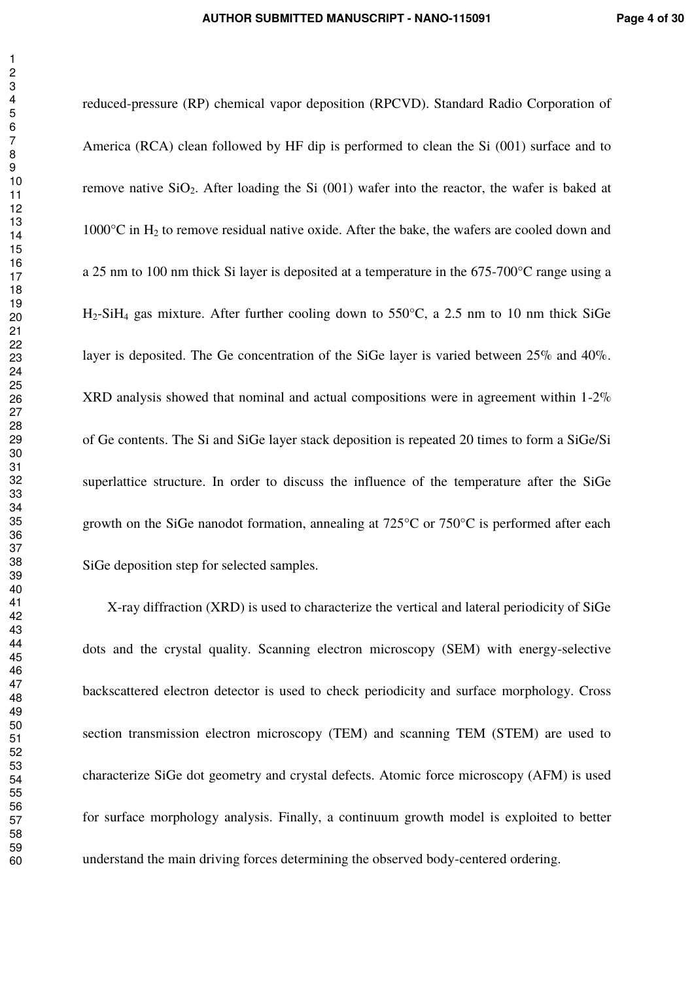reduced-pressure (RP) chemical vapor deposition (RPCVD). Standard Radio Corporation of America (RCA) clean followed by HF dip is performed to clean the Si (001) surface and to remove native  $SiO<sub>2</sub>$ . After loading the Si (001) wafer into the reactor, the wafer is baked at  $1000^{\circ}$ C in H<sub>2</sub> to remove residual native oxide. After the bake, the wafers are cooled down and a 25 nm to 100 nm thick Si layer is deposited at a temperature in the 675-700°C range using a H2-SiH4 gas mixture. After further cooling down to 550°C, a 2.5 nm to 10 nm thick SiGe layer is deposited. The Ge concentration of the SiGe layer is varied between 25% and 40%. XRD analysis showed that nominal and actual compositions were in agreement within 1-2% of Ge contents. The Si and SiGe layer stack deposition is repeated 20 times to form a SiGe/Si superlattice structure. In order to discuss the influence of the temperature after the SiGe growth on the SiGe nanodot formation, annealing at 725°C or 750°C is performed after each SiGe deposition step for selected samples.

X-ray diffraction (XRD) is used to characterize the vertical and lateral periodicity of SiGe dots and the crystal quality. Scanning electron microscopy (SEM) with energy-selective backscattered electron detector is used to check periodicity and surface morphology. Cross section transmission electron microscopy (TEM) and scanning TEM (STEM) are used to characterize SiGe dot geometry and crystal defects. Atomic force microscopy (AFM) is used for surface morphology analysis. Finally, a continuum growth model is exploited to better understand the main driving forces determining the observed body-centered ordering.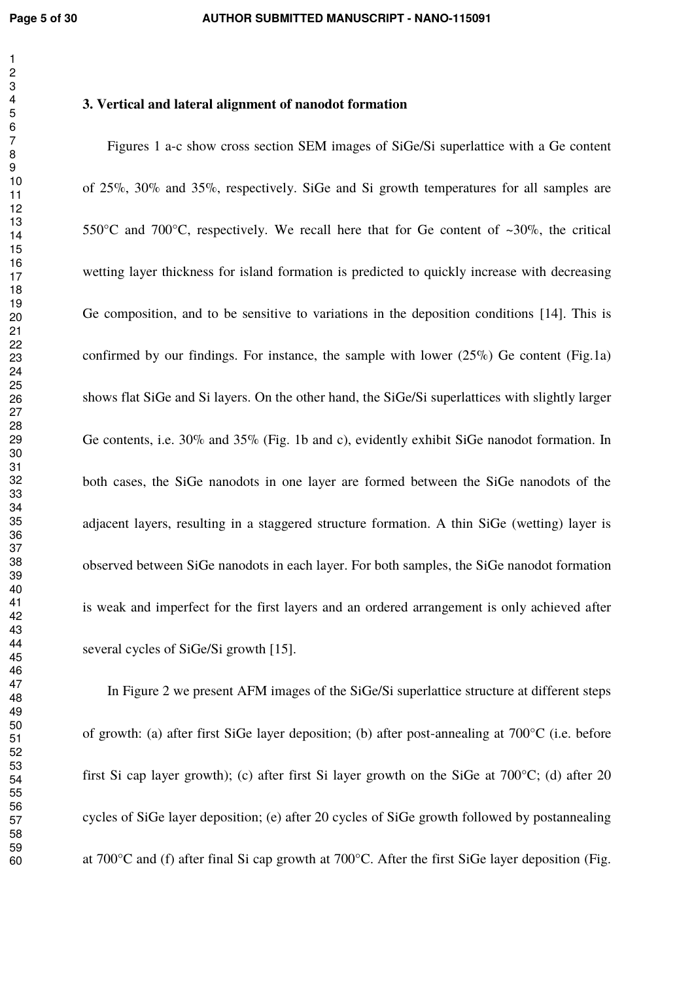#### **3. Vertical and lateral alignment of nanodot formation**

Figures 1 a-c show cross section SEM images of SiGe/Si superlattice with a Ge content of 25%, 30% and 35%, respectively. SiGe and Si growth temperatures for all samples are 550 $^{\circ}$ C and 700 $^{\circ}$ C, respectively. We recall here that for Ge content of ~30\%, the critical wetting layer thickness for island formation is predicted to quickly increase with decreasing Ge composition, and to be sensitive to variations in the deposition conditions [14]. This is confirmed by our findings. For instance, the sample with lower  $(25\%)$  Ge content (Fig.1a) shows flat SiGe and Si layers. On the other hand, the SiGe/Si superlattices with slightly larger Ge contents, i.e. 30% and 35% (Fig. 1b and c), evidently exhibit SiGe nanodot formation. In both cases, the SiGe nanodots in one layer are formed between the SiGe nanodots of the adjacent layers, resulting in a staggered structure formation. A thin SiGe (wetting) layer is observed between SiGe nanodots in each layer. For both samples, the SiGe nanodot formation is weak and imperfect for the first layers and an ordered arrangement is only achieved after several cycles of SiGe/Si growth [15].

In Figure 2 we present AFM images of the SiGe/Si superlattice structure at different steps of growth: (a) after first SiGe layer deposition; (b) after post-annealing at 700°C (i.e. before first Si cap layer growth); (c) after first Si layer growth on the SiGe at 700°C; (d) after 20 cycles of SiGe layer deposition; (e) after 20 cycles of SiGe growth followed by postannealing at 700°C and (f) after final Si cap growth at 700°C. After the first SiGe layer deposition (Fig.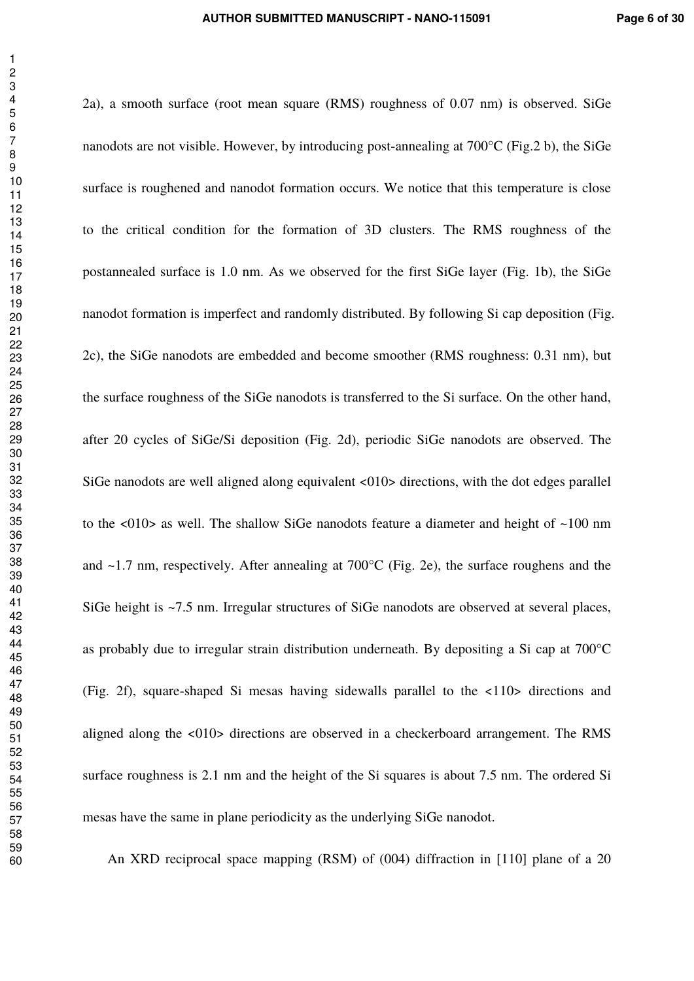2a), a smooth surface (root mean square (RMS) roughness of 0.07 nm) is observed. SiGe nanodots are not visible. However, by introducing post-annealing at 700°C (Fig.2 b), the SiGe surface is roughened and nanodot formation occurs. We notice that this temperature is close to the critical condition for the formation of 3D clusters. The RMS roughness of the postannealed surface is 1.0 nm. As we observed for the first SiGe layer (Fig. 1b), the SiGe nanodot formation is imperfect and randomly distributed. By following Si cap deposition (Fig. 2c), the SiGe nanodots are embedded and become smoother (RMS roughness: 0.31 nm), but the surface roughness of the SiGe nanodots is transferred to the Si surface. On the other hand, after 20 cycles of SiGe/Si deposition (Fig. 2d), periodic SiGe nanodots are observed. The SiGe nanodots are well aligned along equivalent <010> directions, with the dot edges parallel to the <010> as well. The shallow SiGe nanodots feature a diameter and height of ~100 nm and ~1.7 nm, respectively. After annealing at 700°C (Fig. 2e), the surface roughens and the SiGe height is ~7.5 nm. Irregular structures of SiGe nanodots are observed at several places, as probably due to irregular strain distribution underneath. By depositing a Si cap at 700°C (Fig. 2f), square-shaped Si mesas having sidewalls parallel to the <110> directions and aligned along the <010> directions are observed in a checkerboard arrangement. The RMS surface roughness is 2.1 nm and the height of the Si squares is about 7.5 nm. The ordered Si mesas have the same in plane periodicity as the underlying SiGe nanodot.

An XRD reciprocal space mapping (RSM) of (004) diffraction in [110] plane of a 20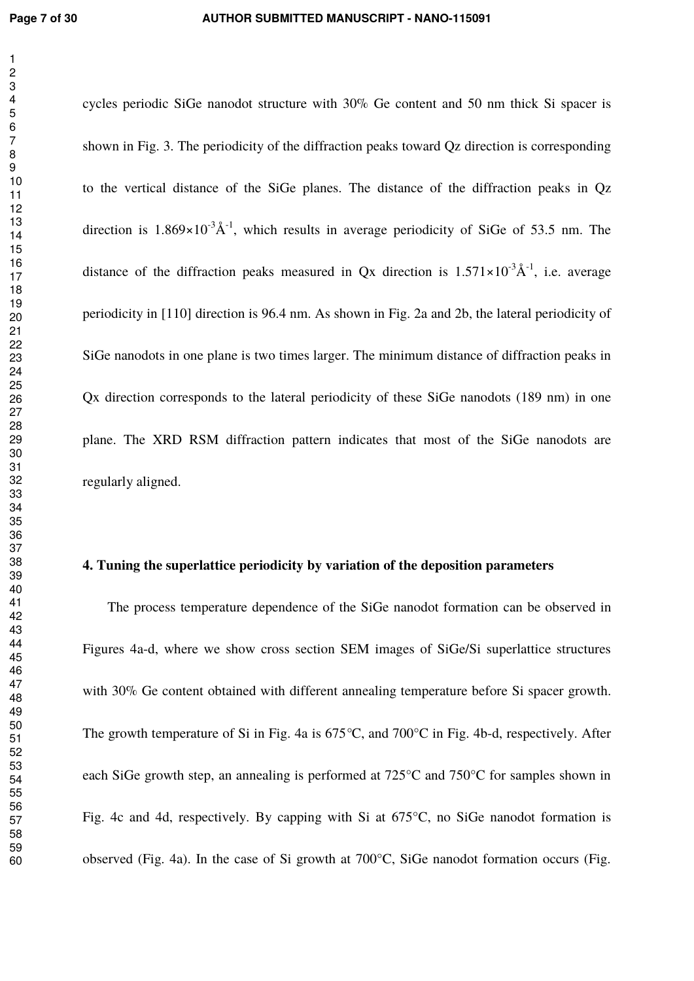cycles periodic SiGe nanodot structure with 30% Ge content and 50 nm thick Si spacer is shown in Fig. 3. The periodicity of the diffraction peaks toward Qz direction is corresponding to the vertical distance of the SiGe planes. The distance of the diffraction peaks in Qz direction is  $1.869 \times 10^{-3} \text{\AA}^{-1}$ , which results in average periodicity of SiGe of 53.5 nm. The distance of the diffraction peaks measured in Ox direction is  $1.571 \times 10^{-3} \text{\AA}^{-1}$ , i.e. average periodicity in [110] direction is 96.4 nm. As shown in Fig. 2a and 2b, the lateral periodicity of SiGe nanodots in one plane is two times larger. The minimum distance of diffraction peaks in Qx direction corresponds to the lateral periodicity of these SiGe nanodots (189 nm) in one plane. The XRD RSM diffraction pattern indicates that most of the SiGe nanodots are regularly aligned.

#### **4. Tuning the superlattice periodicity by variation of the deposition parameters**

The process temperature dependence of the SiGe nanodot formation can be observed in Figures 4a-d, where we show cross section SEM images of SiGe/Si superlattice structures with 30% Ge content obtained with different annealing temperature before Si spacer growth. The growth temperature of Si in Fig. 4a is 675*°*C, and 700°C in Fig. 4b-d, respectively. After each SiGe growth step, an annealing is performed at 725°C and 750°C for samples shown in Fig. 4c and 4d, respectively. By capping with Si at 675°C, no SiGe nanodot formation is observed (Fig. 4a). In the case of Si growth at 700°C, SiGe nanodot formation occurs (Fig.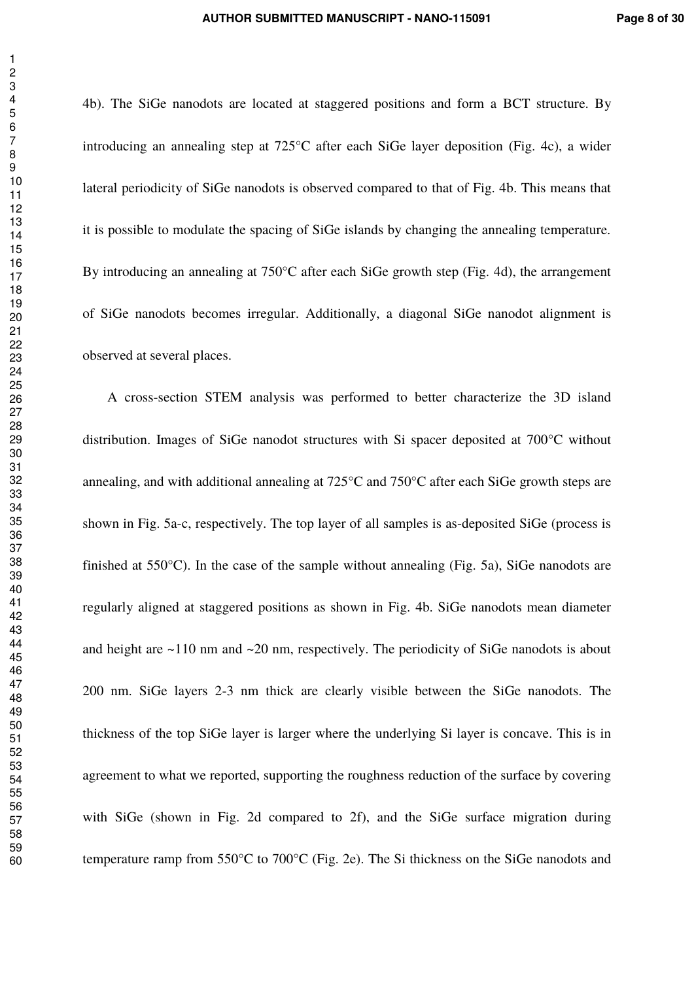4b). The SiGe nanodots are located at staggered positions and form a BCT structure. By introducing an annealing step at 725°C after each SiGe layer deposition (Fig. 4c), a wider lateral periodicity of SiGe nanodots is observed compared to that of Fig. 4b. This means that it is possible to modulate the spacing of SiGe islands by changing the annealing temperature. By introducing an annealing at 750°C after each SiGe growth step (Fig. 4d), the arrangement of SiGe nanodots becomes irregular. Additionally, a diagonal SiGe nanodot alignment is observed at several places.

A cross-section STEM analysis was performed to better characterize the 3D island distribution. Images of SiGe nanodot structures with Si spacer deposited at 700°C without annealing, and with additional annealing at 725°C and 750°C after each SiGe growth steps are shown in Fig. 5a-c, respectively. The top layer of all samples is as-deposited SiGe (process is finished at 550°C). In the case of the sample without annealing (Fig. 5a), SiGe nanodots are regularly aligned at staggered positions as shown in Fig. 4b. SiGe nanodots mean diameter and height are ~110 nm and ~20 nm, respectively. The periodicity of SiGe nanodots is about 200 nm. SiGe layers 2-3 nm thick are clearly visible between the SiGe nanodots. The thickness of the top SiGe layer is larger where the underlying Si layer is concave. This is in agreement to what we reported, supporting the roughness reduction of the surface by covering with SiGe (shown in Fig. 2d compared to 2f), and the SiGe surface migration during temperature ramp from 550°C to 700°C (Fig. 2e). The Si thickness on the SiGe nanodots and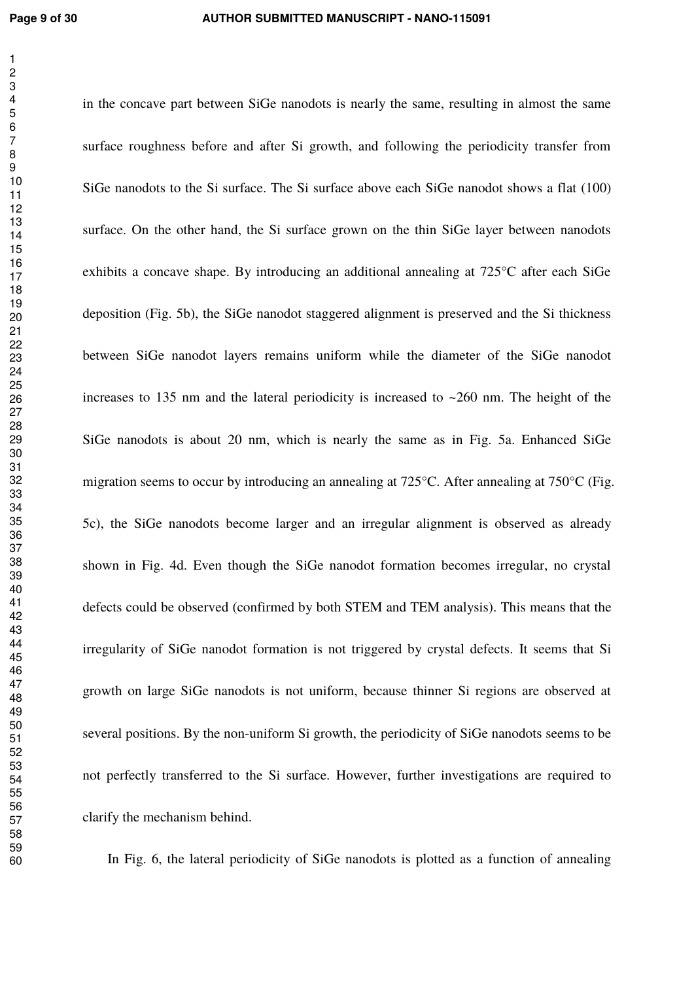in the concave part between SiGe nanodots is nearly the same, resulting in almost the same surface roughness before and after Si growth, and following the periodicity transfer from SiGe nanodots to the Si surface. The Si surface above each SiGe nanodot shows a flat (100) surface. On the other hand, the Si surface grown on the thin SiGe layer between nanodots exhibits a concave shape. By introducing an additional annealing at 725°C after each SiGe deposition (Fig. 5b), the SiGe nanodot staggered alignment is preserved and the Si thickness between SiGe nanodot layers remains uniform while the diameter of the SiGe nanodot increases to 135 nm and the lateral periodicity is increased to  $\sim$ 260 nm. The height of the SiGe nanodots is about 20 nm, which is nearly the same as in Fig. 5a. Enhanced SiGe migration seems to occur by introducing an annealing at 725°C. After annealing at 750°C (Fig. 5c), the SiGe nanodots become larger and an irregular alignment is observed as already shown in Fig. 4d. Even though the SiGe nanodot formation becomes irregular, no crystal defects could be observed (confirmed by both STEM and TEM analysis). This means that the irregularity of SiGe nanodot formation is not triggered by crystal defects. It seems that Si growth on large SiGe nanodots is not uniform, because thinner Si regions are observed at several positions. By the non-uniform Si growth, the periodicity of SiGe nanodots seems to be not perfectly transferred to the Si surface. However, further investigations are required to clarify the mechanism behind.

In Fig. 6, the lateral periodicity of SiGe nanodots is plotted as a function of annealing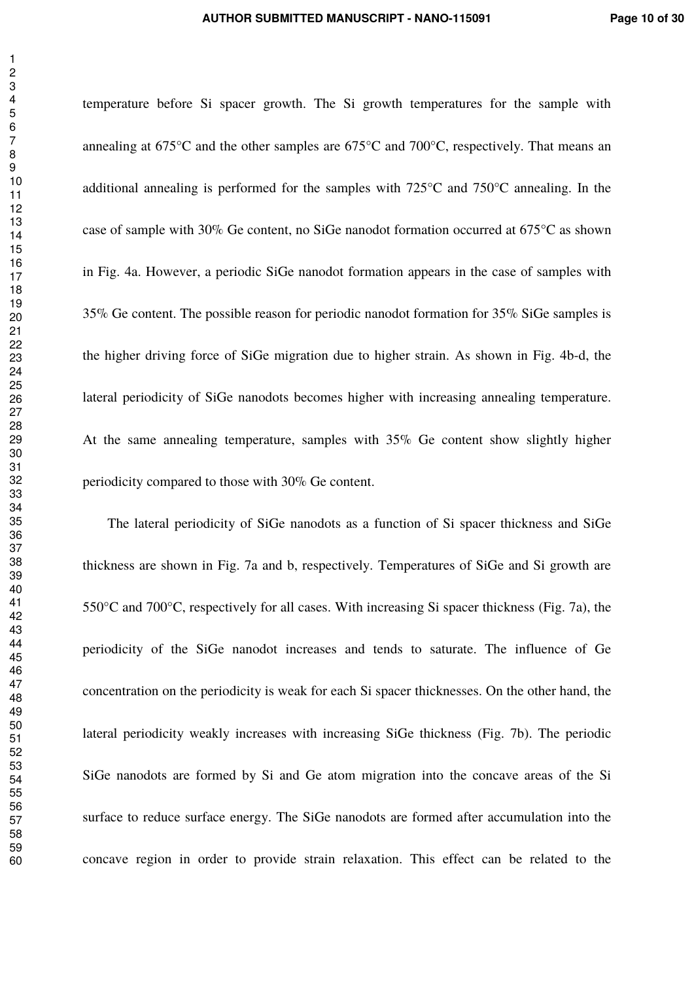temperature before Si spacer growth. The Si growth temperatures for the sample with annealing at 675°C and the other samples are 675°C and 700°C, respectively. That means an additional annealing is performed for the samples with 725°C and 750°C annealing. In the case of sample with 30% Ge content, no SiGe nanodot formation occurred at 675°C as shown in Fig. 4a. However, a periodic SiGe nanodot formation appears in the case of samples with 35% Ge content. The possible reason for periodic nanodot formation for 35% SiGe samples is the higher driving force of SiGe migration due to higher strain. As shown in Fig. 4b-d, the lateral periodicity of SiGe nanodots becomes higher with increasing annealing temperature. At the same annealing temperature, samples with 35% Ge content show slightly higher periodicity compared to those with 30% Ge content.

The lateral periodicity of SiGe nanodots as a function of Si spacer thickness and SiGe thickness are shown in Fig. 7a and b, respectively. Temperatures of SiGe and Si growth are 550°C and 700°C, respectively for all cases. With increasing Si spacer thickness (Fig. 7a), the periodicity of the SiGe nanodot increases and tends to saturate. The influence of Ge concentration on the periodicity is weak for each Si spacer thicknesses. On the other hand, the lateral periodicity weakly increases with increasing SiGe thickness (Fig. 7b). The periodic SiGe nanodots are formed by Si and Ge atom migration into the concave areas of the Si surface to reduce surface energy. The SiGe nanodots are formed after accumulation into the concave region in order to provide strain relaxation. This effect can be related to the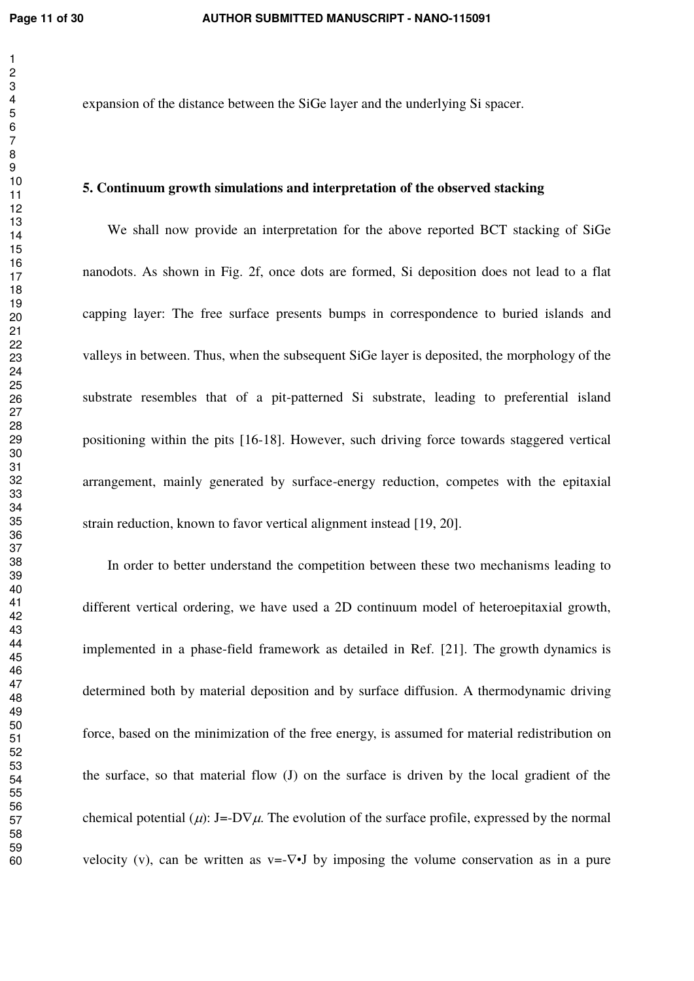expansion of the distance between the SiGe layer and the underlying Si spacer.

#### **5. Continuum growth simulations and interpretation of the observed stacking**

We shall now provide an interpretation for the above reported BCT stacking of SiGe nanodots. As shown in Fig. 2f, once dots are formed, Si deposition does not lead to a flat capping layer: The free surface presents bumps in correspondence to buried islands and valleys in between. Thus, when the subsequent SiGe layer is deposited, the morphology of the substrate resembles that of a pit-patterned Si substrate, leading to preferential island positioning within the pits [16-18]. However, such driving force towards staggered vertical arrangement, mainly generated by surface-energy reduction, competes with the epitaxial strain reduction, known to favor vertical alignment instead [19, 20].

In order to better understand the competition between these two mechanisms leading to different vertical ordering, we have used a 2D continuum model of heteroepitaxial growth, implemented in a phase-field framework as detailed in Ref. [21]. The growth dynamics is determined both by material deposition and by surface diffusion. A thermodynamic driving force, based on the minimization of the free energy, is assumed for material redistribution on the surface, so that material flow (J) on the surface is driven by the local gradient of the chemical potential ( $\mu$ ): J=-D $\nabla \mu$ . The evolution of the surface profile, expressed by the normal velocity (v), can be written as  $v=-\nabla \cdot \mathbf{J}$  by imposing the volume conservation as in a pure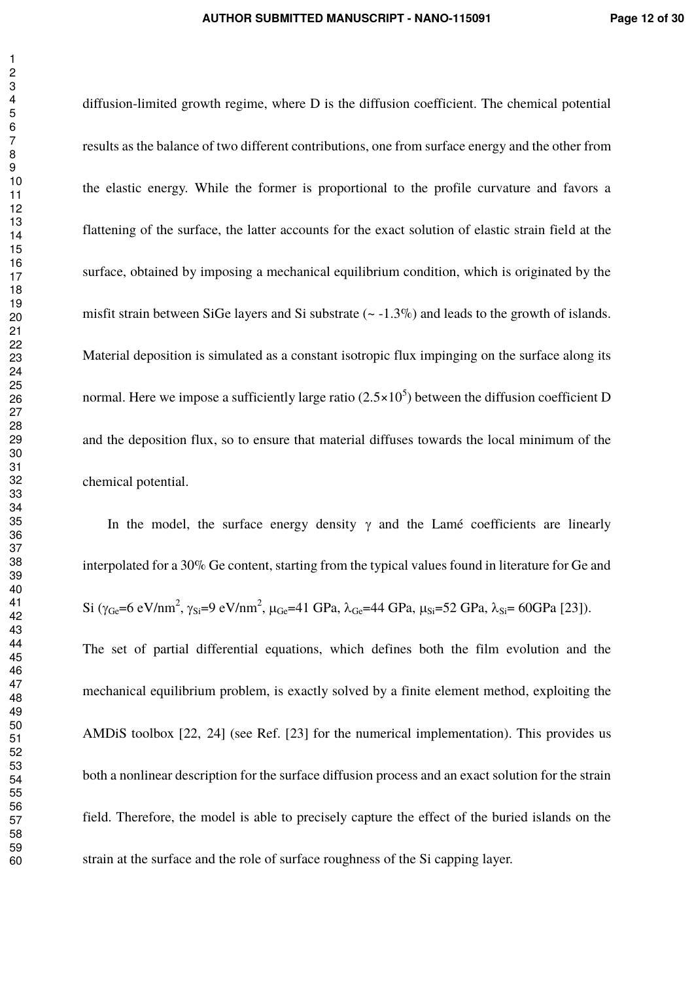diffusion-limited growth regime, where D is the diffusion coefficient. The chemical potential results as the balance of two different contributions, one from surface energy and the other from the elastic energy. While the former is proportional to the profile curvature and favors a flattening of the surface, the latter accounts for the exact solution of elastic strain field at the surface, obtained by imposing a mechanical equilibrium condition, which is originated by the misfit strain between SiGe layers and Si substrate  $(-1.3\%)$  and leads to the growth of islands. Material deposition is simulated as a constant isotropic flux impinging on the surface along its normal. Here we impose a sufficiently large ratio (2.5 $\times10^5$ ) between the diffusion coefficient D and the deposition flux, so to ensure that material diffuses towards the local minimum of the chemical potential.

In the model, the surface energy density  $\gamma$  and the Lamé coefficients are linearly interpolated for a 30% Ge content, starting from the typical values found in literature for Ge and Si ( $\gamma_{\text{Ge}} = 6 \text{ eV/nm}^2$ ,  $\gamma_{\text{Si}} = 9 \text{ eV/nm}^2$ ,  $\mu_{\text{Ge}} = 41 \text{ GPa}$ ,  $\lambda_{\text{Ge}} = 44 \text{ GPa}$ ,  $\mu_{\text{Si}} = 52 \text{ GPa}$ ,  $\lambda_{\text{Si}} = 60 \text{ GPa}$  [23]). The set of partial differential equations, which defines both the film evolution and the mechanical equilibrium problem, is exactly solved by a finite element method, exploiting the AMDiS toolbox [22, 24] (see Ref. [23] for the numerical implementation). This provides us both a nonlinear description for the surface diffusion process and an exact solution for the strain field. Therefore, the model is able to precisely capture the effect of the buried islands on the strain at the surface and the role of surface roughness of the Si capping layer.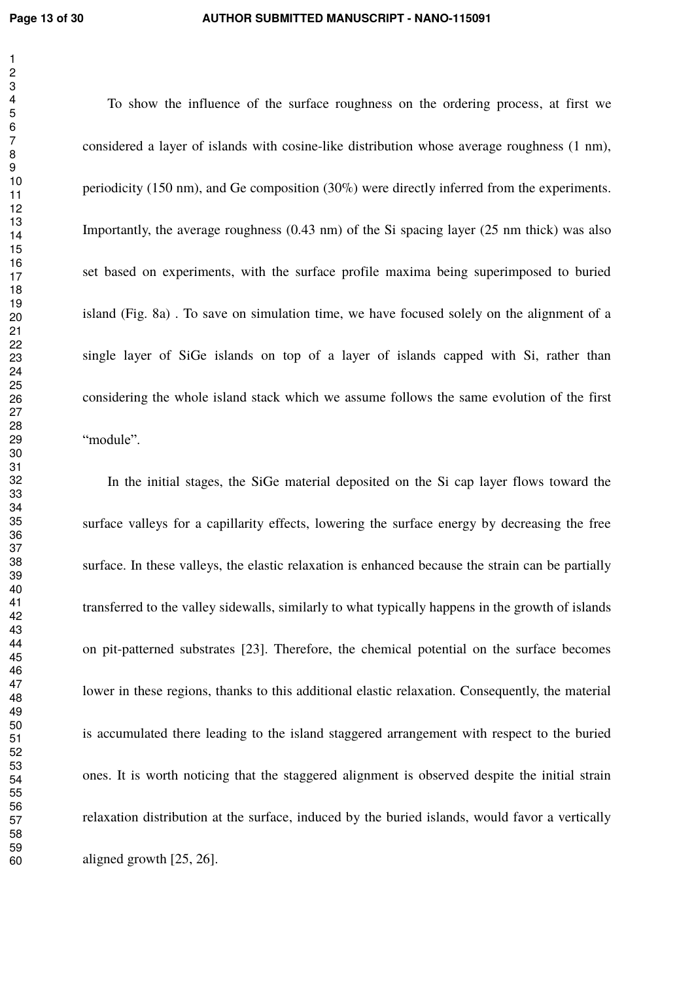To show the influence of the surface roughness on the ordering process, at first we considered a layer of islands with cosine-like distribution whose average roughness (1 nm), periodicity (150 nm), and Ge composition (30%) were directly inferred from the experiments. Importantly, the average roughness (0.43 nm) of the Si spacing layer (25 nm thick) was also set based on experiments, with the surface profile maxima being superimposed to buried island (Fig. 8a) . To save on simulation time, we have focused solely on the alignment of a single layer of SiGe islands on top of a layer of islands capped with Si, rather than considering the whole island stack which we assume follows the same evolution of the first "module".

In the initial stages, the SiGe material deposited on the Si cap layer flows toward the surface valleys for a capillarity effects, lowering the surface energy by decreasing the free surface. In these valleys, the elastic relaxation is enhanced because the strain can be partially transferred to the valley sidewalls, similarly to what typically happens in the growth of islands on pit-patterned substrates [23]. Therefore, the chemical potential on the surface becomes lower in these regions, thanks to this additional elastic relaxation. Consequently, the material is accumulated there leading to the island staggered arrangement with respect to the buried ones. It is worth noticing that the staggered alignment is observed despite the initial strain relaxation distribution at the surface, induced by the buried islands, would favor a vertically aligned growth [25, 26].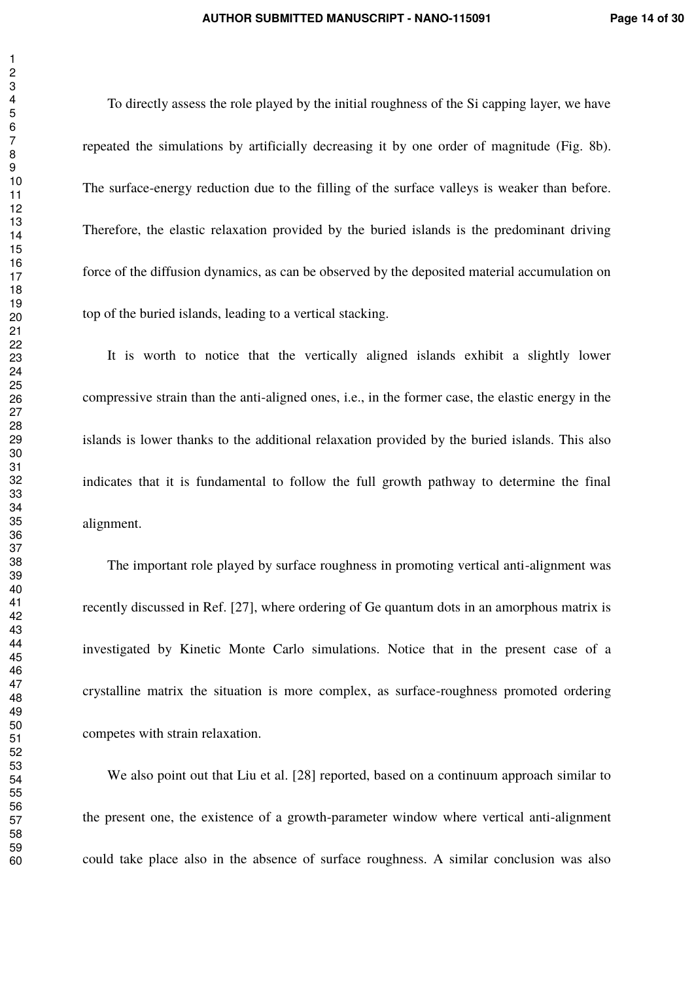To directly assess the role played by the initial roughness of the Si capping layer, we have repeated the simulations by artificially decreasing it by one order of magnitude (Fig. 8b). The surface-energy reduction due to the filling of the surface valleys is weaker than before. Therefore, the elastic relaxation provided by the buried islands is the predominant driving force of the diffusion dynamics, as can be observed by the deposited material accumulation on top of the buried islands, leading to a vertical stacking.

It is worth to notice that the vertically aligned islands exhibit a slightly lower compressive strain than the anti-aligned ones, i.e., in the former case, the elastic energy in the islands is lower thanks to the additional relaxation provided by the buried islands. This also indicates that it is fundamental to follow the full growth pathway to determine the final alignment.

The important role played by surface roughness in promoting vertical anti-alignment was recently discussed in Ref. [27], where ordering of Ge quantum dots in an amorphous matrix is investigated by Kinetic Monte Carlo simulations. Notice that in the present case of a crystalline matrix the situation is more complex, as surface-roughness promoted ordering competes with strain relaxation.

We also point out that Liu et al. [28] reported, based on a continuum approach similar to the present one, the existence of a growth-parameter window where vertical anti-alignment could take place also in the absence of surface roughness. A similar conclusion was also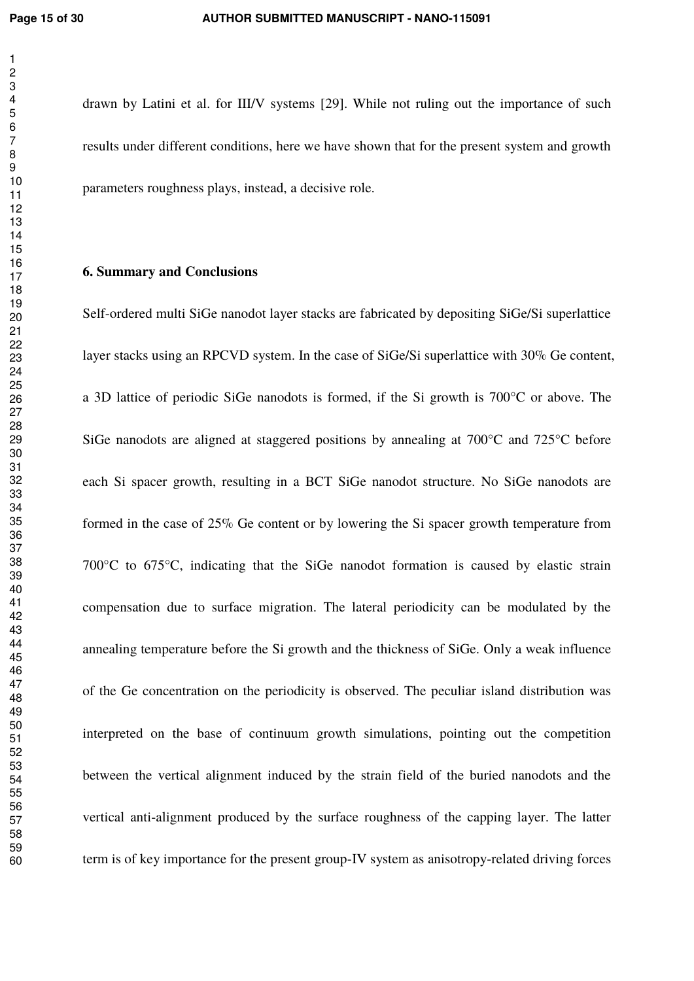drawn by Latini et al. for III/V systems [29]. While not ruling out the importance of such results under different conditions, here we have shown that for the present system and growth parameters roughness plays, instead, a decisive role.

#### **6. Summary and Conclusions**

Self-ordered multi SiGe nanodot layer stacks are fabricated by depositing SiGe/Si superlattice layer stacks using an RPCVD system. In the case of SiGe/Si superlattice with 30% Ge content, a 3D lattice of periodic SiGe nanodots is formed, if the Si growth is 700°C or above. The SiGe nanodots are aligned at staggered positions by annealing at 700°C and 725°C before each Si spacer growth, resulting in a BCT SiGe nanodot structure. No SiGe nanodots are formed in the case of 25% Ge content or by lowering the Si spacer growth temperature from 700°C to 675°C, indicating that the SiGe nanodot formation is caused by elastic strain compensation due to surface migration. The lateral periodicity can be modulated by the annealing temperature before the Si growth and the thickness of SiGe. Only a weak influence of the Ge concentration on the periodicity is observed. The peculiar island distribution was interpreted on the base of continuum growth simulations, pointing out the competition between the vertical alignment induced by the strain field of the buried nanodots and the vertical anti-alignment produced by the surface roughness of the capping layer. The latter term is of key importance for the present group-IV system as anisotropy-related driving forces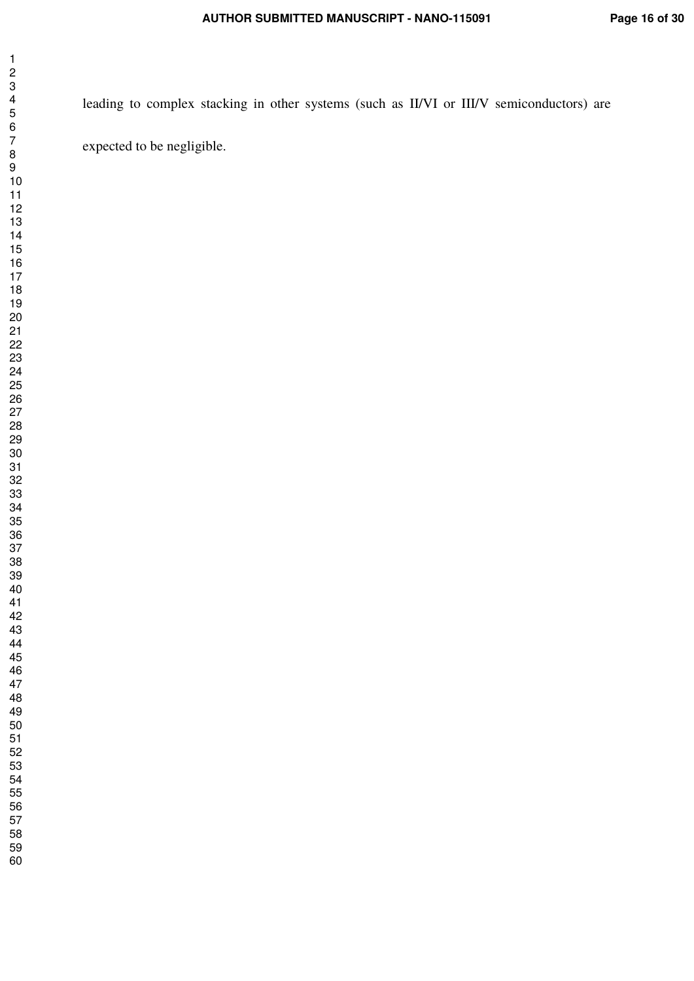leading to complex stacking in other systems (such as II/VI or III/V semiconductors) are expected to be negligible.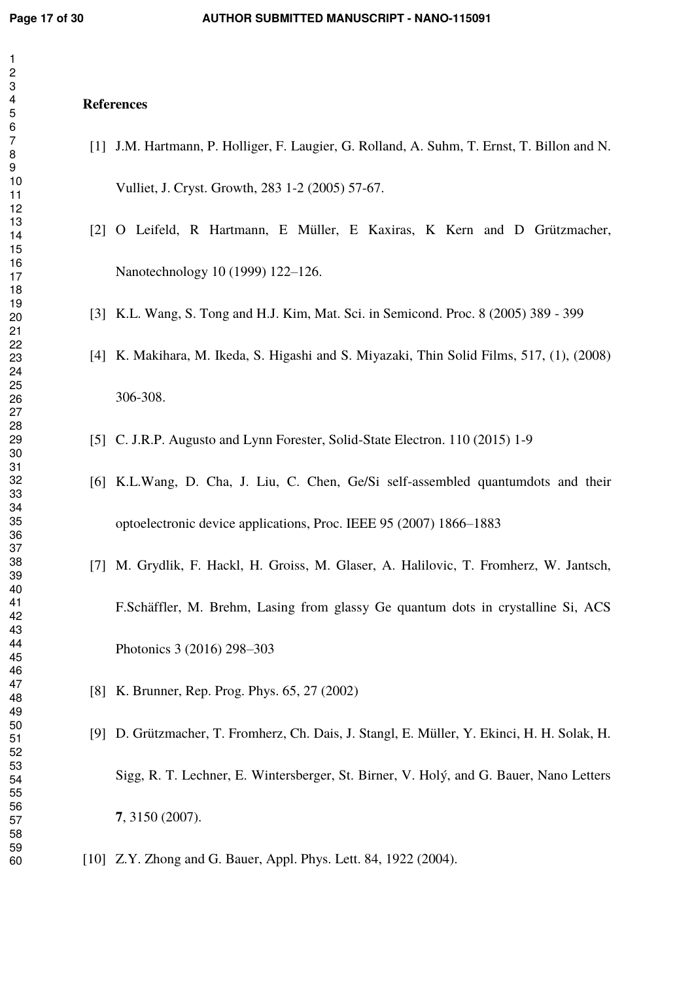#### **References**

- [1] J.M. Hartmann, P. Holliger, F. Laugier, G. Rolland, A. Suhm, T. Ernst, T. Billon and N. Vulliet, J. Cryst. Growth, 283 1-2 (2005) 57-67.
- [2] O Leifeld, R Hartmann, E Müller, E Kaxiras, K Kern and D Grützmacher, Nanotechnology 10 (1999) 122–126.
- [3] K.L. Wang, S. Tong and H.J. Kim, Mat. Sci. in Semicond. Proc. 8 (2005) 389 399
- [4] K. Makihara, M. Ikeda, S. Higashi and S. Miyazaki, Thin Solid Films, 517, (1), (2008) 306-308.
- [5] C. J.R.P. Augusto and Lynn Forester, Solid-State Electron. 110 (2015) 1-9
- [6] K.L.Wang, D. Cha, J. Liu, C. Chen, Ge/Si self-assembled quantumdots and their optoelectronic device applications, Proc. IEEE 95 (2007) 1866–1883
- [7] M. Grydlik, F. Hackl, H. Groiss, M. Glaser, A. Halilovic, T. Fromherz, W. Jantsch, F.Schäffler, M. Brehm, Lasing from glassy Ge quantum dots in crystalline Si, ACS Photonics 3 (2016) 298–303
- [8] K. Brunner, Rep. Prog. Phys. 65, 27 (2002)
- [9] D. Grützmacher, T. Fromherz, Ch. Dais, J. Stangl, E. Müller, Y. Ekinci, H. H. Solak, H. Sigg, R. T. Lechner, E. Wintersberger, St. Birner, V. Holý, and G. Bauer, Nano Letters , 3150 (2007).
- [10] Z.Y. Zhong and G. Bauer, Appl. Phys. Lett. 84, 1922 (2004).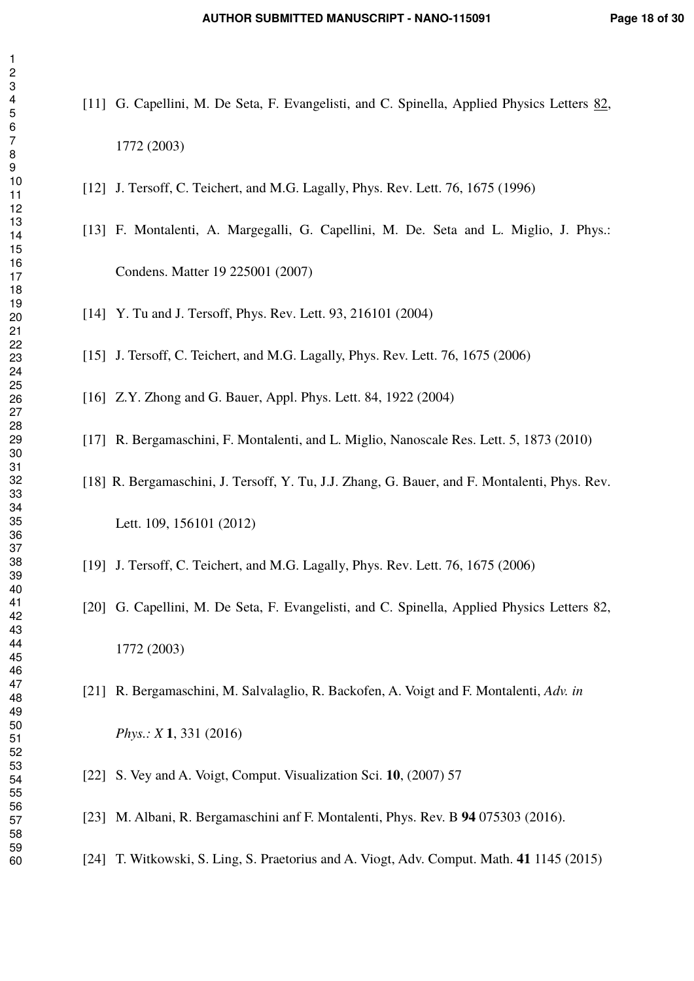- [11] G. Capellini, M. De Seta, F. Evangelisti, and C. Spinella, Applied Physics Letters 82, 1772 (2003)
	- [12] J. Tersoff, C. Teichert, and M.G. Lagally, Phys. Rev. Lett. 76, 1675 (1996)
	- [13] F. Montalenti, A. Margegalli, G. Capellini, M. De. Seta and L. Miglio, J. Phys.: Condens. Matter 19 225001 (2007)
	- [14] Y. Tu and J. Tersoff, Phys. Rev. Lett. 93, 216101 (2004)
	- [15] J. Tersoff, C. Teichert, and M.G. Lagally, Phys. Rev. Lett. 76, 1675 (2006)
	- [16] Z.Y. Zhong and G. Bauer, Appl. Phys. Lett. 84, 1922 (2004)
	- [17] R. Bergamaschini, F. Montalenti, and L. Miglio, Nanoscale Res. Lett. 5, 1873 (2010)
	- [18] R. Bergamaschini, J. Tersoff, Y. Tu, J.J. Zhang, G. Bauer, and F. Montalenti, Phys. Rev. Lett. 109, 156101 (2012)
	- [19] J. Tersoff, C. Teichert, and M.G. Lagally, Phys. Rev. Lett. 76, 1675 (2006)
	- [20] G. Capellini, M. De Seta, F. Evangelisti, and C. Spinella, Applied Physics Letters 82, 1772 (2003)
	- [21] R. Bergamaschini, M. Salvalaglio, R. Backofen, A. Voigt and F. Montalenti, *Adv. in Phys.: X* **1**, 331 (2016)
	- [22] S. Vey and A. Voigt, Comput. Visualization Sci. **10**, (2007) 57
	- [23] M. Albani, R. Bergamaschini anf F. Montalenti, Phys. Rev. B **94** 075303 (2016).
	- [24] T. Witkowski, S. Ling, S. Praetorius and A. Viogt, Adv. Comput. Math. **41** 1145 (2015)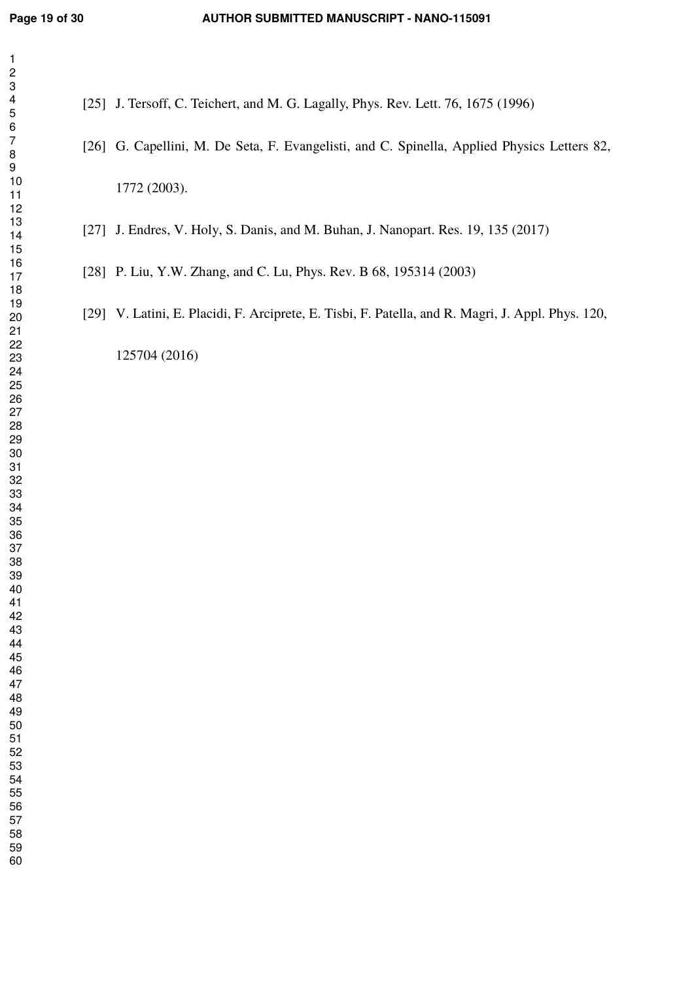[25] J. Tersoff, C. Teichert, and M. G. Lagally, Phys. Rev. Lett. 76, 1675 (1996)

- [26] G. Capellini, M. De Seta, F. Evangelisti, and C. Spinella, Applied Physics Letters 82, 1772 (2003).
- [27] J. Endres, V. Holy, S. Danis, and M. Buhan, J. Nanopart. Res. 19, 135 (2017)
- [28] P. Liu, Y.W. Zhang, and C. Lu, Phys. Rev. B 68, 195314 (2003)
- [29] V. Latini, E. Placidi, F. Arciprete, E. Tisbi, F. Patella, and R. Magri, J. Appl. Phys. 120,

125704 (2016)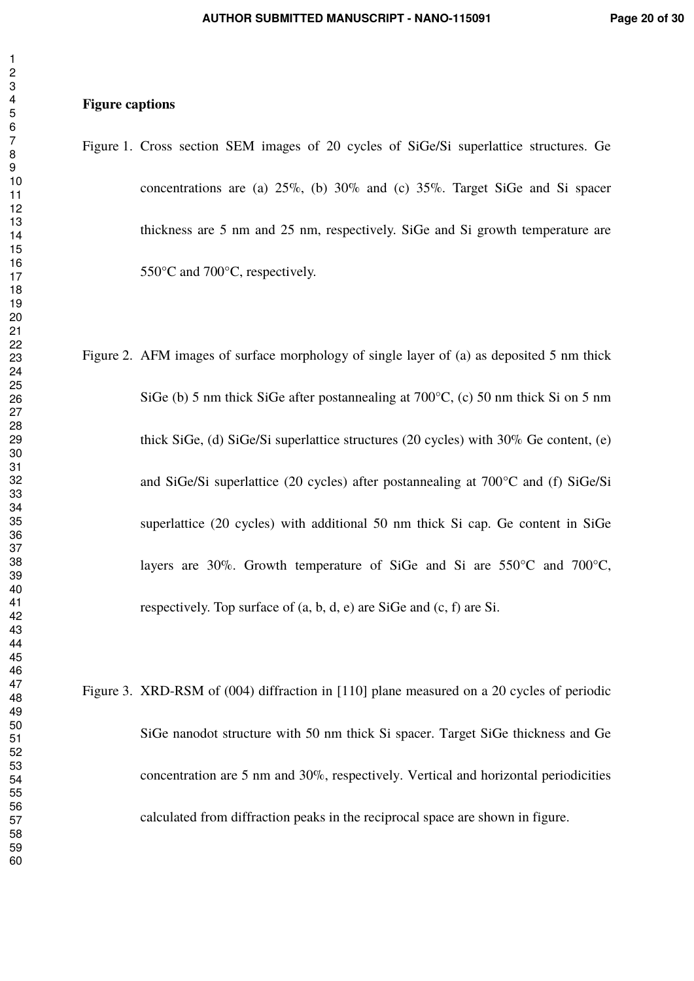#### **Figure captions**

- Figure 1. Cross section SEM images of 20 cycles of SiGe/Si superlattice structures. Ge concentrations are (a) 25%, (b) 30% and (c) 35%. Target SiGe and Si spacer thickness are 5 nm and 25 nm, respectively. SiGe and Si growth temperature are 550°C and 700°C, respectively.
- Figure 2. AFM images of surface morphology of single layer of (a) as deposited 5 nm thick SiGe (b) 5 nm thick SiGe after postannealing at 700°C, (c) 50 nm thick Si on 5 nm thick SiGe, (d) SiGe/Si superlattice structures (20 cycles) with 30% Ge content, (e) and SiGe/Si superlattice (20 cycles) after postannealing at 700°C and (f) SiGe/Si superlattice (20 cycles) with additional 50 nm thick Si cap. Ge content in SiGe layers are 30%. Growth temperature of SiGe and Si are 550°C and 700°C, respectively. Top surface of (a, b, d, e) are SiGe and (c, f) are Si.
- Figure 3. XRD-RSM of (004) diffraction in [110] plane measured on a 20 cycles of periodic SiGe nanodot structure with 50 nm thick Si spacer. Target SiGe thickness and Ge concentration are 5 nm and 30%, respectively. Vertical and horizontal periodicities calculated from diffraction peaks in the reciprocal space are shown in figure.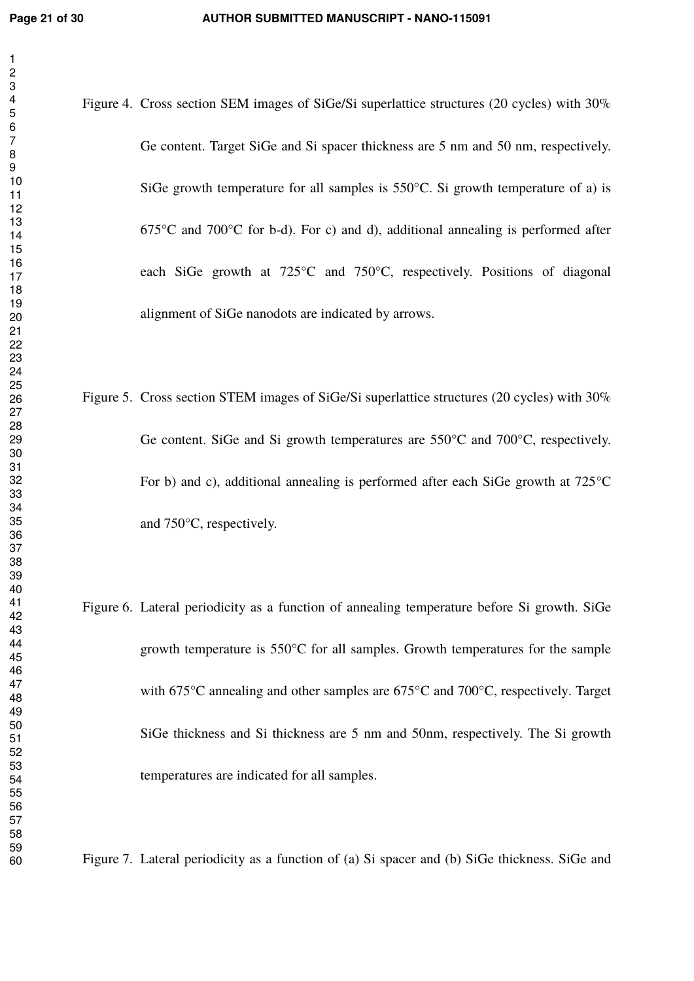Figure 4. Cross section SEM images of SiGe/Si superlattice structures (20 cycles) with 30% Ge content. Target SiGe and Si spacer thickness are 5 nm and 50 nm, respectively. SiGe growth temperature for all samples is 550°C. Si growth temperature of a) is  $675^{\circ}$ C and  $700^{\circ}$ C for b-d). For c) and d), additional annealing is performed after each SiGe growth at 725°C and 750°C, respectively. Positions of diagonal alignment of SiGe nanodots are indicated by arrows.

- Figure 5. Cross section STEM images of SiGe/Si superlattice structures (20 cycles) with 30% Ge content. SiGe and Si growth temperatures are 550°C and 700°C, respectively. For b) and c), additional annealing is performed after each SiGe growth at 725°C and 750°C, respectively.
- Figure 6. Lateral periodicity as a function of annealing temperature before Si growth. SiGe growth temperature is 550°C for all samples. Growth temperatures for the sample with 675°C annealing and other samples are 675°C and 700°C, respectively. Target SiGe thickness and Si thickness are 5 nm and 50nm, respectively. The Si growth temperatures are indicated for all samples.

Figure 7. Lateral periodicity as a function of (a) Si spacer and (b) SiGe thickness. SiGe and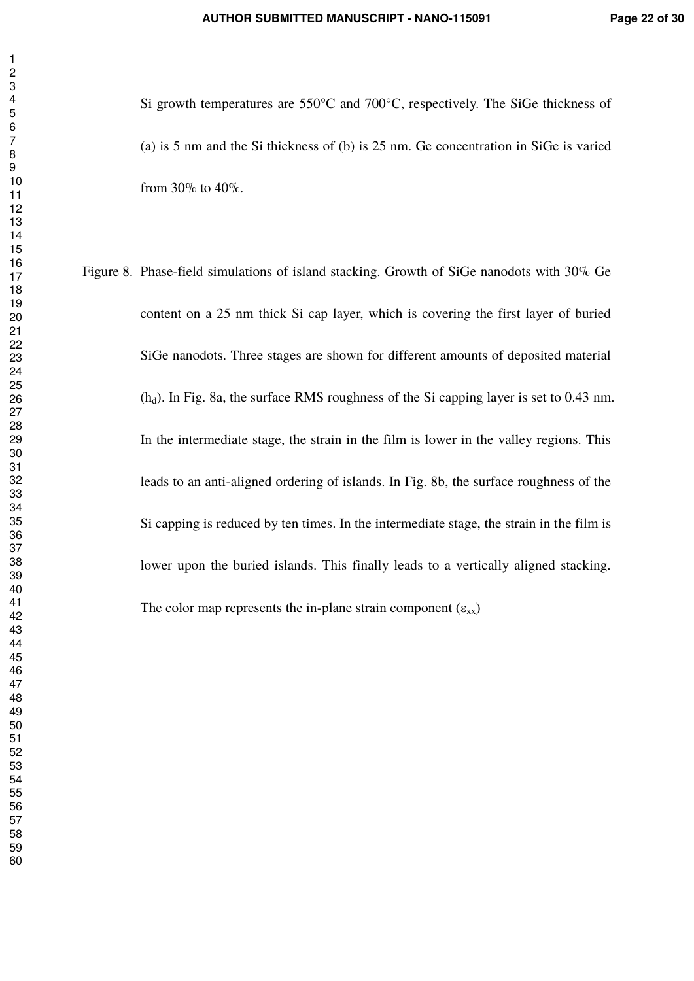Si growth temperatures are 550°C and 700°C, respectively. The SiGe thickness of (a) is 5 nm and the Si thickness of (b) is 25 nm. Ge concentration in SiGe is varied from 30% to 40%.

Figure 8. Phase-field simulations of island stacking. Growth of SiGe nanodots with 30% Ge content on a 25 nm thick Si cap layer, which is covering the first layer of buried SiGe nanodots. Three stages are shown for different amounts of deposited material  $(h_d)$ . In Fig. 8a, the surface RMS roughness of the Si capping layer is set to 0.43 nm. In the intermediate stage, the strain in the film is lower in the valley regions. This leads to an anti-aligned ordering of islands. In Fig. 8b, the surface roughness of the Si capping is reduced by ten times. In the intermediate stage, the strain in the film is lower upon the buried islands. This finally leads to a vertically aligned stacking. The color map represents the in-plane strain component  $(\varepsilon_{xx})$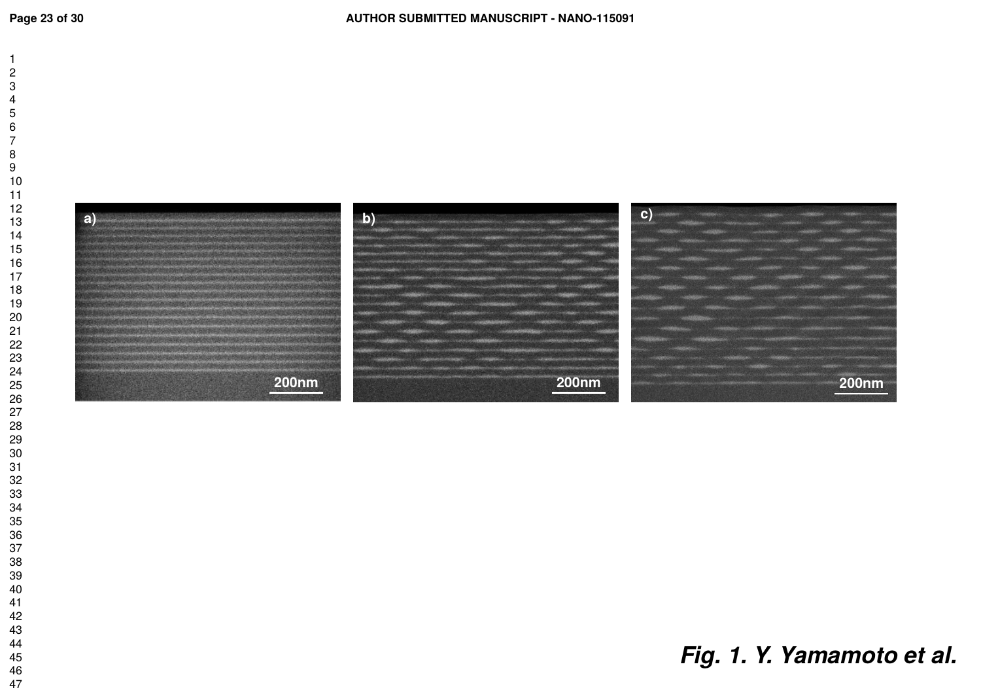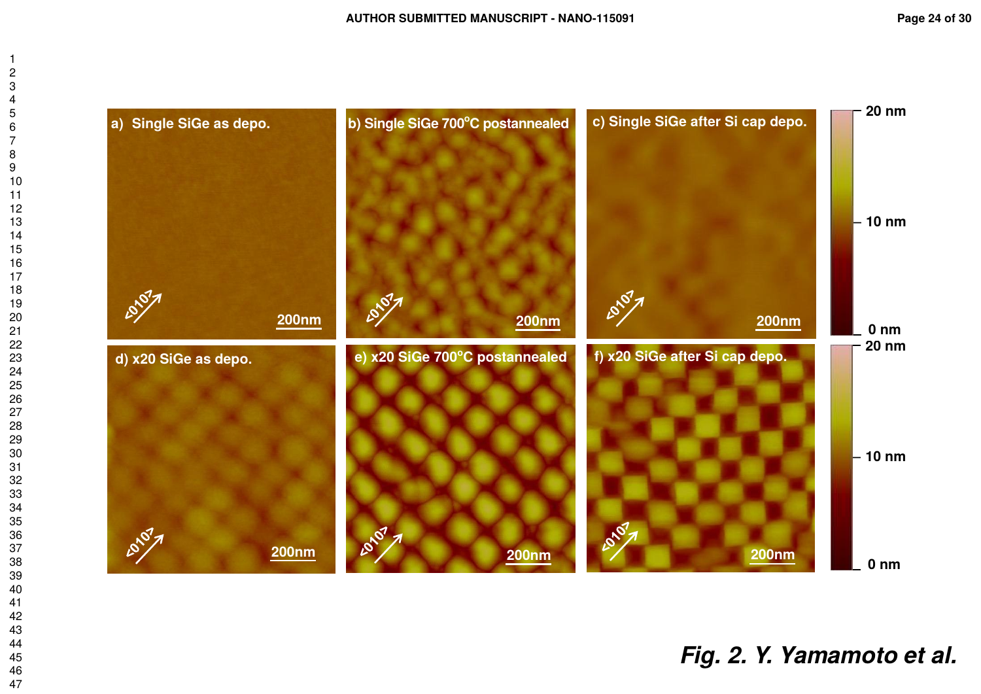

*Fig. 2. Y. Yamamoto et al.*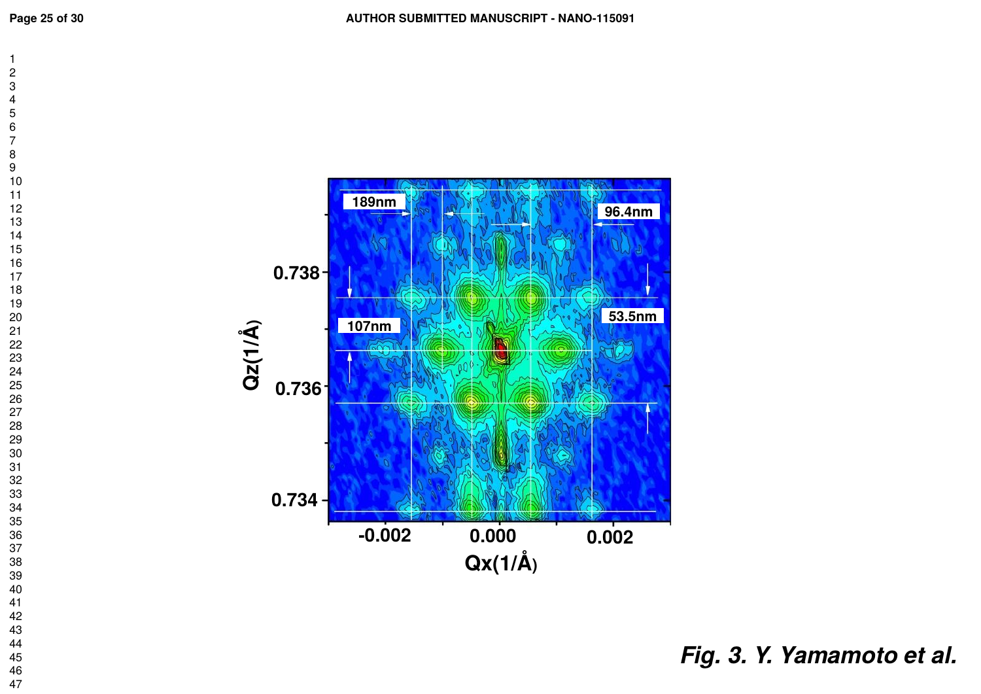

*Fig. 3. Y. Yamamoto et al.*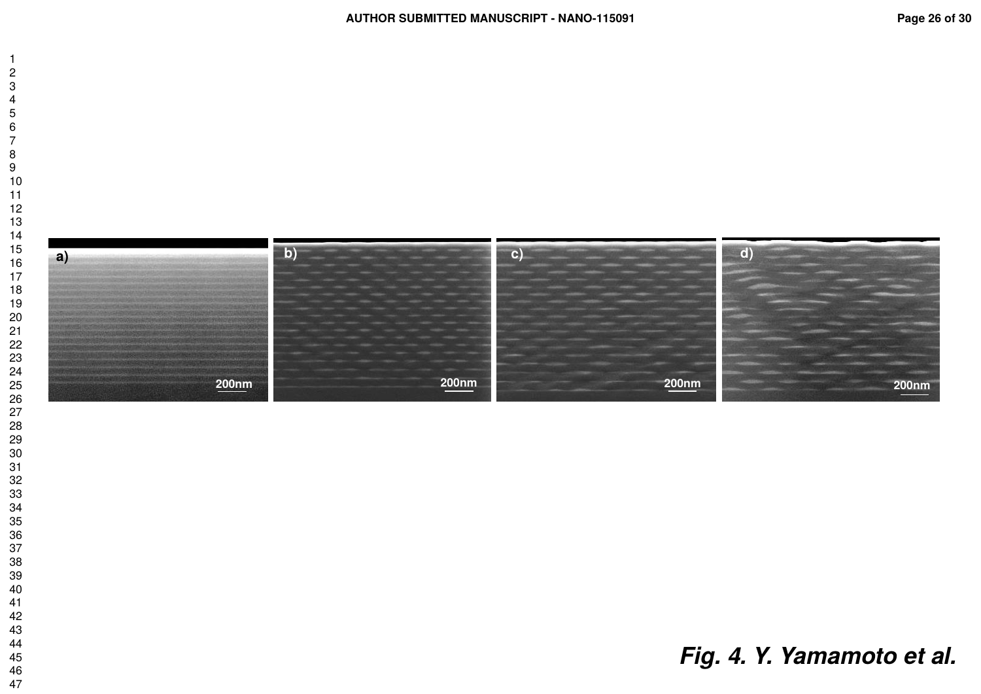

# *Fig. 4. Y. Yamamoto et al.*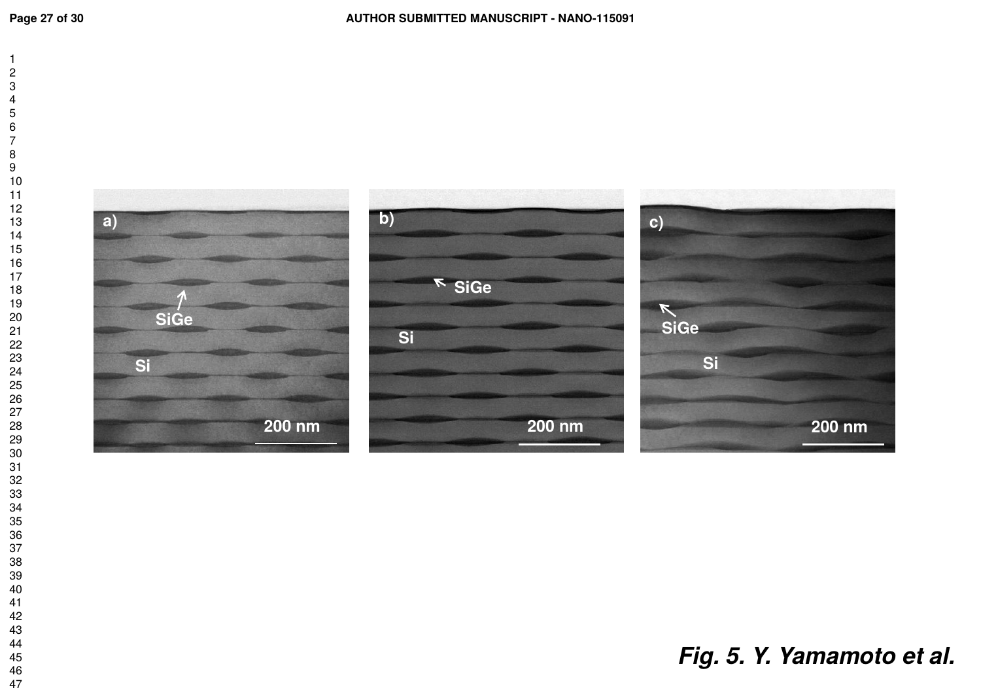

*Fig. 5. Y. Yamamoto et al.*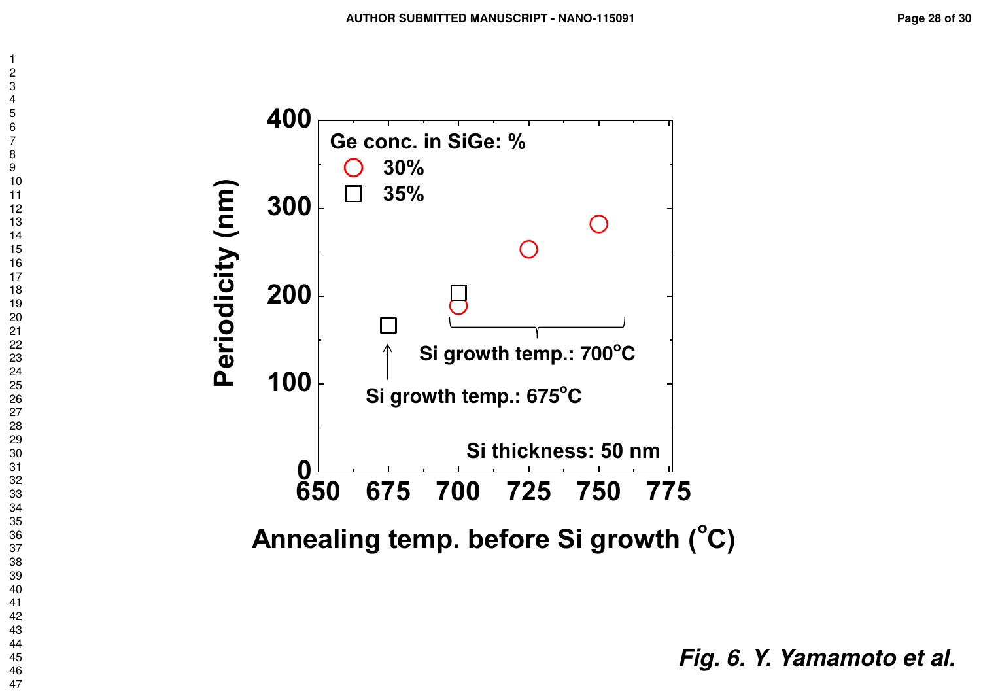

 $\overline{1}$  $\overline{c}$  $\overline{4}$  $\overline{7}$ 

*Fig. 6. Y. Yamamoto et al.*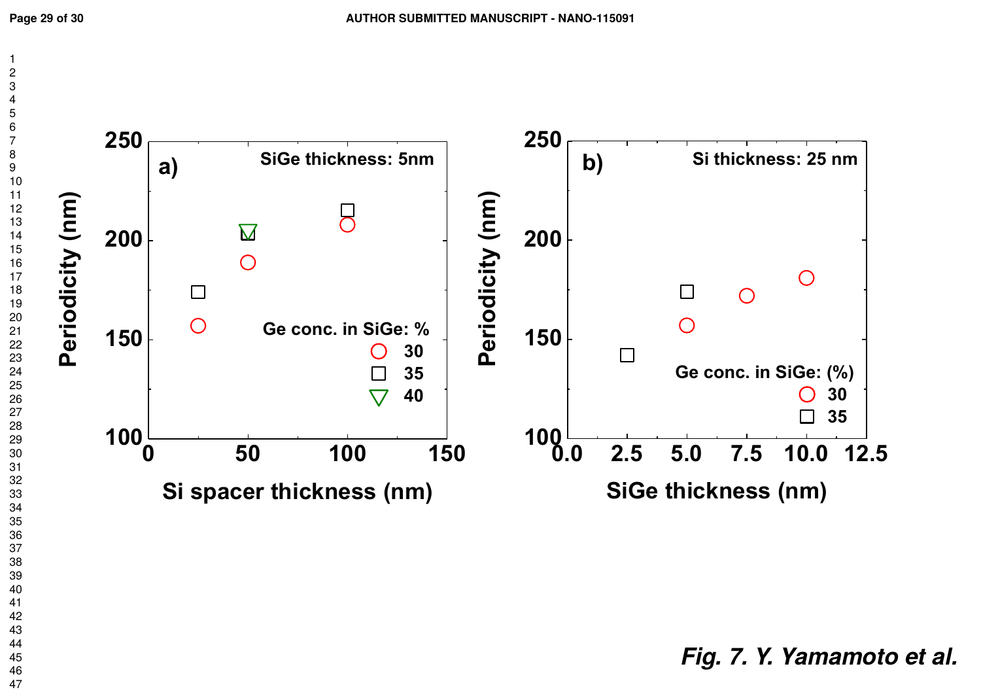

*Fig. 7. Y. Yamamoto et al.*